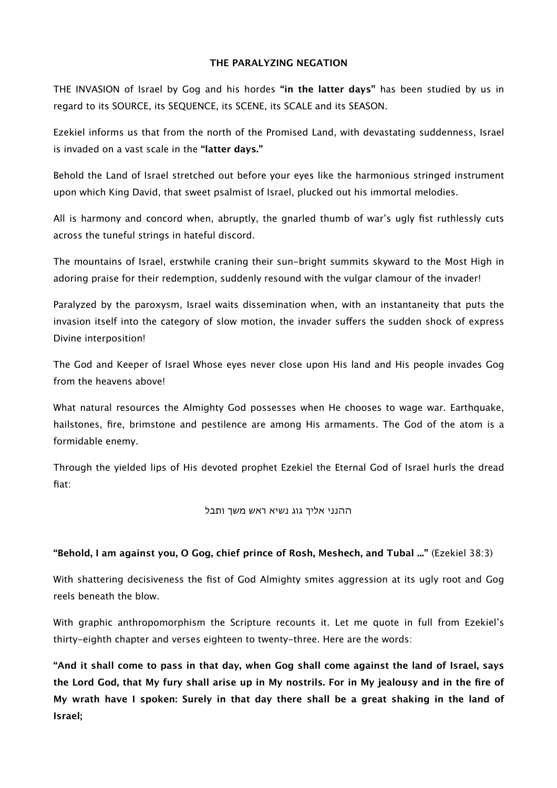#### **THE PARALYZING NEGATION**

THE INVASION of Israel by Gog and his hordes **"in the latter days"** has been studied by us in regard to its SOURCE, its SEQUENCE, its SCENE, its SCALE and its SEASON.

Ezekiel informs us that from the north of the Promised Land, with devastating suddenness, Israel is invaded on a vast scale in the **"latter days."**

Behold the Land of Israel stretched out before your eyes like the harmonious stringed instrument upon which King David, that sweet psalmist of Israel, plucked out his immortal melodies.

All is harmony and concord when, abruptly, the gnarled thumb of war's ugly fist ruthlessly cuts across the tuneful strings in hateful discord.

The mountains of Israel, erstwhile craning their sun-bright summits skyward to the Most High in adoring praise for their redemption, suddenly resound with the vulgar clamour of the invader!

Paralyzed by the paroxysm, Israel waits dissemination when, with an instantaneity that puts the invasion itself into the category of slow motion, the invader suffers the sudden shock of express Divine interposition!

The God and Keeper of Israel Whose eyes never close upon His land and His people invades Gog from the heavens above!

What natural resources the Almighty God possesses when He chooses to wage war. Earthquake, hailstones, fire, brimstone and pestilence are among His armaments. The God of the atom is a formidable enemy.

Through the yielded lips of His devoted prophet Ezekiel the Eternal God of Israel hurls the dread fiat:

# ההנני אליך גוג נשיא ראש משך ותבל

# **"Behold, I am against you, O Gog, chief prince of Rosh, Meshech, and Tubal ..."** (Ezekiel 38:3)

With shattering decisiveness the fist of God Almighty smites aggression at its ugly root and Gog reels beneath the blow.

With graphic anthropomorphism the Scripture recounts it. Let me quote in full from Ezekiel's thirty-eighth chapter and verses eighteen to twenty-three. Here are the words:

**"And it shall come to pass in that day, when Gog shall come against the land of Israel, says the Lord God, that My fury shall arise up in My nostrils. For in My jealousy and in the fire of My wrath have I spoken: Surely in that day there shall be a great shaking in the land of Israel;**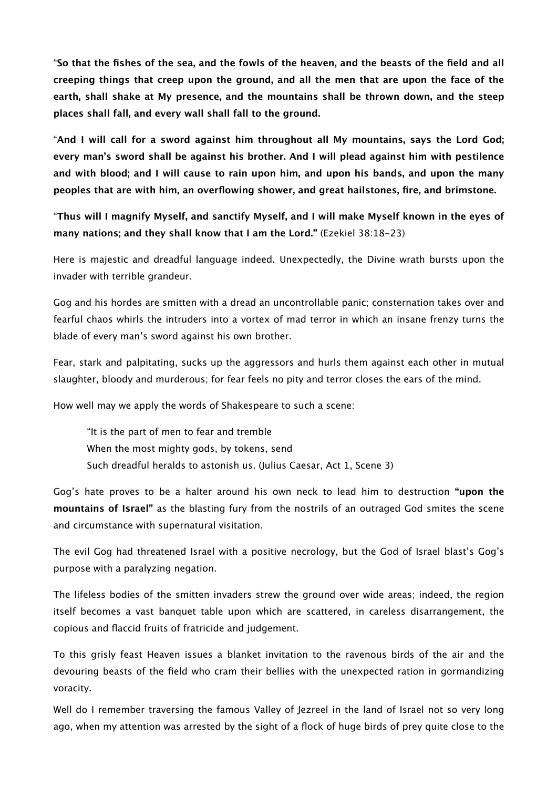"**So that the fishes of the sea, and the fowls of the heaven, and the beasts of the field and all creeping things that creep upon the ground, and all the men that are upon the face of the earth, shall shake at My presence, and the mountains shall be thrown down, and the steep places shall fall, and every wall shall fall to the ground.**

"**And I will call for a sword against him throughout all My mountains, says the Lord God; every man's sword shall be against his brother. And I will plead against him with pestilence and with blood; and I will cause to rain upon him, and upon his bands, and upon the many peoples that are with him, an overflowing shower, and great hailstones, fire, and brimstone.**

"**Thus will I magnify Myself, and sanctify Myself, and I will make Myself known in the eyes of many nations; and they shall know that I am the Lord."** (Ezekiel 38:18-23)

Here is majestic and dreadful language indeed. Unexpectedly, the Divine wrath bursts upon the invader with terrible grandeur.

Gog and his hordes are smitten with a dread an uncontrollable panic; consternation takes over and fearful chaos whirls the intruders into a vortex of mad terror in which an insane frenzy turns the blade of every man's sword against his own brother.

Fear, stark and palpitating, sucks up the aggressors and hurls them against each other in mutual slaughter, bloody and murderous; for fear feels no pity and terror closes the ears of the mind.

How well may we apply the words of Shakespeare to such a scene:

"It is the part of men to fear and tremble When the most mighty gods, by tokens, send Such dreadful heralds to astonish us. (Julius Caesar, Act 1, Scene 3)

Gog's hate proves to be a halter around his own neck to lead him to destruction **"upon the mountains of Israel"** as the blasting fury from the nostrils of an outraged God smites the scene and circumstance with supernatural visitation.

The evil Gog had threatened Israel with a positive necrology, but the God of Israel blast's Gog's purpose with a paralyzing negation.

The lifeless bodies of the smitten invaders strew the ground over wide areas; indeed, the region itself becomes a vast banquet table upon which are scattered, in careless disarrangement, the copious and flaccid fruits of fratricide and judgement.

To this grisly feast Heaven issues a blanket invitation to the ravenous birds of the air and the devouring beasts of the field who cram their bellies with the unexpected ration in gormandizing voracity.

Well do I remember traversing the famous Valley of Jezreel in the land of Israel not so very long ago, when my attention was arrested by the sight of a flock of huge birds of prey quite close to the